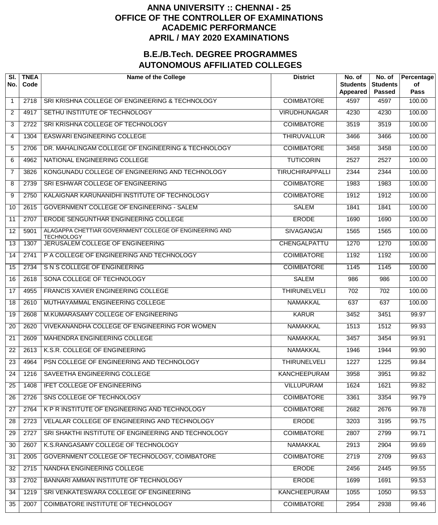## **ANNA UNIVERSITY :: CHENNAI - 25 OFFICE OF THE CONTROLLER OF EXAMINATIONS ACADEMIC PERFORMANCE APRIL / MAY 2020 EXAMINATIONS**

## **B.E./B.Tech. DEGREE PROGRAMMES AUTONOMOUS AFFILIATED COLLEGES**

| SI.<br>No.      | <b>TNEA</b><br>Code | <b>Name of the College</b>                                                   | <b>District</b>        | No. of<br><b>Students</b><br><b>Appeared</b> | No. of<br><b>Students</b><br><b>Passed</b> | Percentage<br>of<br><b>Pass</b> |
|-----------------|---------------------|------------------------------------------------------------------------------|------------------------|----------------------------------------------|--------------------------------------------|---------------------------------|
| $\mathbf 1$     | 2718                | SRI KRISHNA COLLEGE OF ENGINEERING & TECHNOLOGY                              | <b>COIMBATORE</b>      | 4597                                         | 4597                                       | 100.00                          |
| 2               | 4917                | SETHU INSTITUTE OF TECHNOLOGY                                                | <b>VIRUDHUNAGAR</b>    | 4230                                         | 4230                                       | 100.00                          |
| 3               | 2722                | SRI KRISHNA COLLEGE OF TECHNOLOGY                                            | <b>COIMBATORE</b>      | 3519                                         | 3519                                       | 100.00                          |
| 4               | 1304                | <b>EASWARI ENGINEERING COLLEGE</b>                                           | <b>THIRUVALLUR</b>     | 3466                                         | 3466                                       | 100.00                          |
| 5               | 2706                | DR. MAHALINGAM COLLEGE OF ENGINEERING & TECHNOLOGY                           | <b>COIMBATORE</b>      | 3458                                         | 3458                                       | 100.00                          |
| 6               | 4962                | NATIONAL ENGINEERING COLLEGE                                                 | <b>TUTICORIN</b>       | 2527                                         | 2527                                       | 100.00                          |
| $\overline{7}$  | 3826                | KONGUNADU COLLEGE OF ENGINEERING AND TECHNOLOGY                              | <b>TIRUCHIRAPPALLI</b> | 2344                                         | 2344                                       | 100.00                          |
| 8               | 2739                | SRI ESHWAR COLLEGE OF ENGINEERING                                            | <b>COIMBATORE</b>      | 1983                                         | 1983                                       | 100.00                          |
| 9               | 2750                | KALAIGNAR KARUNANIDHI INSTITUTE OF TECHNOLOGY                                | <b>COIMBATORE</b>      | 1912                                         | 1912                                       | 100.00                          |
| 10              | 2615                | <b>GOVERNMENT COLLEGE OF ENGINEERING - SALEM</b>                             | <b>SALEM</b>           | 1841                                         | 1841                                       | 100.00                          |
| 11              | 2707                | ERODE SENGUNTHAR ENGINEERING COLLEGE                                         | <b>ERODE</b>           | 1690                                         | 1690                                       | 100.00                          |
| 12              | 5901                | ALAGAPPA CHETTIAR GOVERNMENT COLLEGE OF ENGINEERING AND<br><b>TECHNOLOGY</b> | <b>SIVAGANGAI</b>      | 1565                                         | 1565                                       | 100.00                          |
| 13              | 1307                | JERUSALEM COLLEGE OF ENGINEERING                                             | CHENGALPATTU           | 1270                                         | 1270                                       | 100.00                          |
| 14              | 2741                | P A COLLEGE OF ENGINEERING AND TECHNOLOGY                                    | <b>COIMBATORE</b>      | 1192                                         | 1192                                       | 100.00                          |
| 15              | 2734                | S N S COLLEGE OF ENGINEERING                                                 | <b>COIMBATORE</b>      | 1145                                         | 1145                                       | 100.00                          |
| 16              | 2618                | SONA COLLEGE OF TECHNOLOGY                                                   | <b>SALEM</b>           | 986                                          | 986                                        | 100.00                          |
| 17              | 4955                | <b>FRANCIS XAVIER ENGINEERING COLLEGE</b>                                    | <b>THIRUNELVELI</b>    | $\overline{702}$                             | $\overline{702}$                           | 100.00                          |
| 18              | 2610                | MUTHAYAMMAL ENGINEERING COLLEGE                                              | <b>NAMAKKAL</b>        | 637                                          | 637                                        | 100.00                          |
| 19              | 2608                | M.KUMARASAMY COLLEGE OF ENGINEERING                                          | <b>KARUR</b>           | 3452                                         | 3451                                       | 99.97                           |
| 20              | 2620                | VIVEKANANDHA COLLEGE OF ENGINEERING FOR WOMEN                                | <b>NAMAKKAL</b>        | 1513                                         | 1512                                       | 99.93                           |
| $\overline{21}$ | 2609                | <b>MAHENDRA ENGINEERING COLLEGE</b>                                          | <b>NAMAKKAL</b>        | 3457                                         | 3454                                       | 99.91                           |
| 22              | 2613                | K.S.R. COLLEGE OF ENGINEERING                                                | NAMAKKAL               | 1946                                         | 1944                                       | 99.90                           |
| 23              | 4964                | PSN COLLEGE OF ENGINEERING AND TECHNOLOGY                                    | <b>THIRUNELVELI</b>    | 1227                                         | 1225                                       | 99.84                           |
| 24              | 1216                | SAVEETHA ENGINEERING COLLEGE                                                 | <b>KANCHEEPURAM</b>    | 3958                                         | 3951                                       | 99.82                           |
| 25              | 1408                | <b>IFET COLLEGE OF ENGINEERING</b>                                           | <b>VILLUPURAM</b>      | 1624                                         | 1621                                       | 99.82                           |
| 26              | 2726                | SNS COLLEGE OF TECHNOLOGY                                                    | <b>COIMBATORE</b>      | 3361                                         | 3354                                       | 99.79                           |
| 27              | 2764                | K P R INSTITUTE OF ENGINEERING AND TECHNOLOGY                                | <b>COIMBATORE</b>      | 2682                                         | 2676                                       | 99.78                           |
| 28              | 2723                | VELALAR COLLEGE OF ENGINEERING AND TECHNOLOGY                                | <b>ERODE</b>           | 3203                                         | 3195                                       | 99.75                           |
| 29              | 2727                | SRI SHAKTHI INSTITUTE OF ENGINEERING AND TECHNOLOGY                          | <b>COIMBATORE</b>      | 2807                                         | 2799                                       | 99.71                           |
| 30              | 2607                | K.S.RANGASAMY COLLEGE OF TECHNOLOGY                                          | <b>NAMAKKAL</b>        | 2913                                         | 2904                                       | 99.69                           |
| 31              | 2005                | GOVERNMENT COLLEGE OF TECHNOLOGY, COIMBATORE                                 | <b>COIMBATORE</b>      | 2719                                         | 2709                                       | 99.63                           |
| 32              | 2715                | NANDHA ENGINEERING COLLEGE                                                   | <b>ERODE</b>           | 2456                                         | 2445                                       | 99.55                           |
| 33              | 2702                | BANNARI AMMAN INSTITUTE OF TECHNOLOGY                                        | <b>ERODE</b>           | 1699                                         | 1691                                       | 99.53                           |
| 34              | 1219                | SRI VENKATESWARA COLLEGE OF ENGINEERING                                      | <b>KANCHEEPURAM</b>    | 1055                                         | 1050                                       | 99.53                           |
| 35              | 2007                | COIMBATORE INSTITUTE OF TECHNOLOGY                                           | <b>COIMBATORE</b>      | 2954                                         | 2938                                       | 99.46                           |